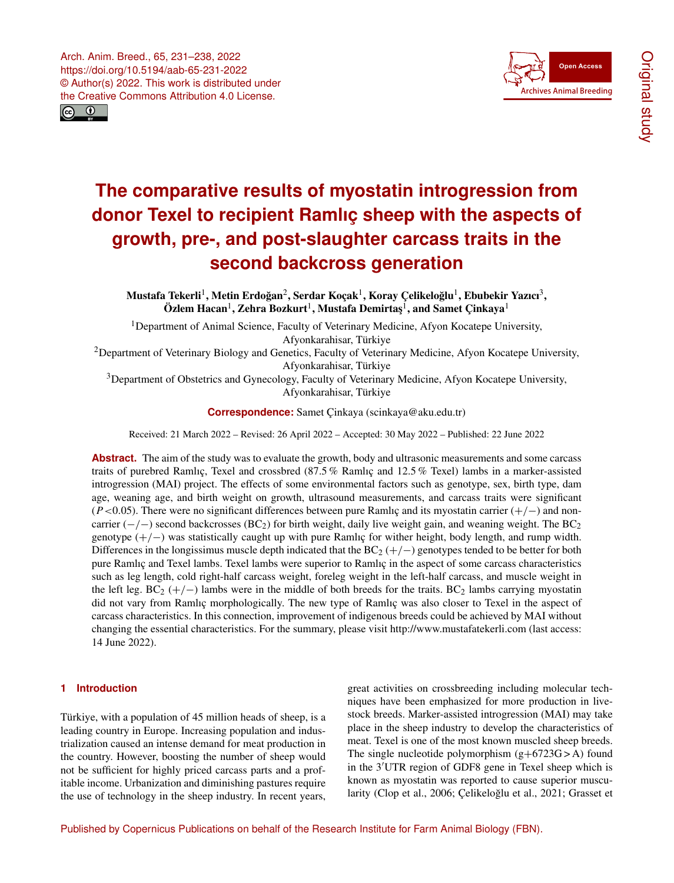



# **The comparative results of myostatin introgression from donor Texel to recipient Ramlıç sheep with the aspects of growth, pre-, and post-slaughter carcass traits in the second backcross generation**

Mustafa Tekerli<sup>[1](#page-0-0)</sup>, Metin Erdoğan<sup>[2](#page-0-0)</sup>, Serdar Koçak<sup>1</sup>, Koray Çelikeloğlu<sup>1</sup>, Ebubekir Yazıcı<sup>[3](#page-0-0)</sup>,  $\ddot{\textbf{O}}$ zlem Hacan $^1$  $^1$ , Zehra Bozkurt $^1$ , Mustafa Demirtaş $^1$ , and Samet Çinkaya $^1$ 

<sup>1</sup>Department of Animal Science, Faculty of Veterinary Medicine, Afyon Kocatepe University, Afyonkarahisar, Türkiye

<sup>2</sup>Department of Veterinary Biology and Genetics, Faculty of Veterinary Medicine, Afyon Kocatepe University, Afyonkarahisar, Türkiye

<sup>3</sup>Department of Obstetrics and Gynecology, Faculty of Veterinary Medicine, Afyon Kocatepe University, Afyonkarahisar, Türkiye

**Correspondence:** Samet Çinkaya (scinkaya@aku.edu.tr)

Received: 21 March 2022 – Revised: 26 April 2022 – Accepted: 30 May 2022 – Published: 22 June 2022

**Abstract.** The aim of the study was to evaluate the growth, body and ultrasonic measurements and some carcass traits of purebred Ramlıç, Texel and crossbred (87.5 % Ramlıç and 12.5 % Texel) lambs in a marker-assisted introgression (MAI) project. The effects of some environmental factors such as genotype, sex, birth type, dam age, weaning age, and birth weight on growth, ultrasound measurements, and carcass traits were significant (P <0.05). There were no significant differences between pure Ramlıç and its myostatin carrier (+/−) and noncarrier ( $-/-$ ) second backcrosses (BC<sub>2</sub>) for birth weight, daily live weight gain, and weaning weight. The BC<sub>2</sub> genotype (+/−) was statistically caught up with pure Ramlıç for wither height, body length, and rump width. Differences in the longissimus muscle depth indicated that the  $BC_2$  (+/−) genotypes tended to be better for both pure Ramlıç and Texel lambs. Texel lambs were superior to Ramlıç in the aspect of some carcass characteristics such as leg length, cold right-half carcass weight, foreleg weight in the left-half carcass, and muscle weight in the left leg.  $BC_2$  (+/−) lambs were in the middle of both breeds for the traits.  $BC_2$  lambs carrying myostatin did not vary from Ramlıç morphologically. The new type of Ramlıç was also closer to Texel in the aspect of carcass characteristics. In this connection, improvement of indigenous breeds could be achieved by MAI without changing the essential characteristics. For the summary, please visit <http://www.mustafatekerli.com> (last access: 14 June 2022).

## <span id="page-0-0"></span>**1 Introduction**

Türkiye, with a population of 45 million heads of sheep, is a leading country in Europe. Increasing population and industrialization caused an intense demand for meat production in the country. However, boosting the number of sheep would not be sufficient for highly priced carcass parts and a profitable income. Urbanization and diminishing pastures require the use of technology in the sheep industry. In recent years, great activities on crossbreeding including molecular techniques have been emphasized for more production in livestock breeds. Marker-assisted introgression (MAI) may take place in the sheep industry to develop the characteristics of meat. Texel is one of the most known muscled sheep breeds. The single nucleotide polymorphism  $(g+6723G > A)$  found in the  $3'UTR$  region of GDF8 gene in Texel sheep which is known as myostatin was reported to cause superior muscularity (Clop et al., 2006; Çelikeloğlu et al., 2021; Grasset et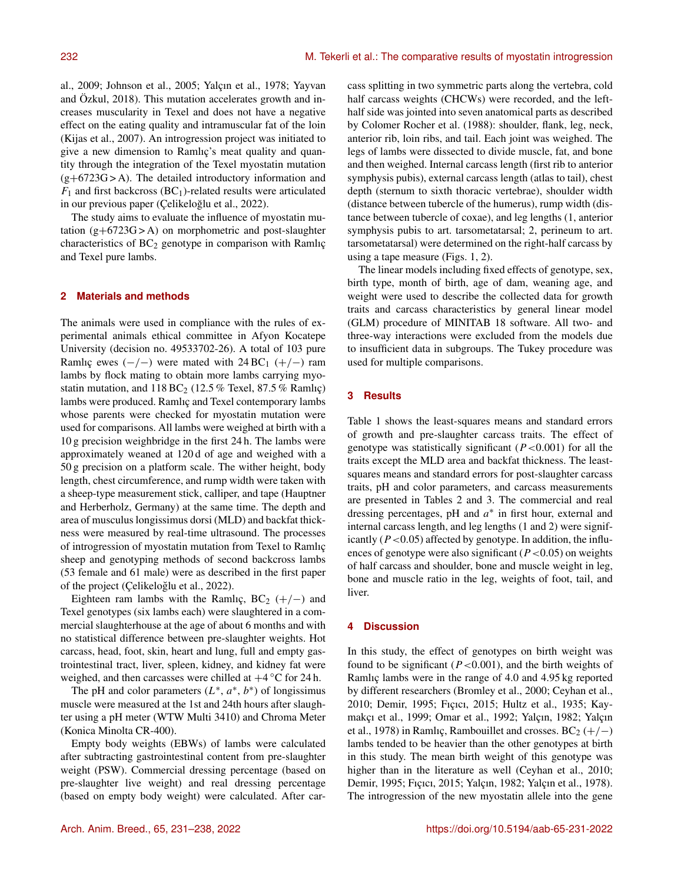al., 2009; Johnson et al., 2005; Yalçın et al., 1978; Yayvan and Özkul, 2018). This mutation accelerates growth and increases muscularity in Texel and does not have a negative effect on the eating quality and intramuscular fat of the loin (Kijas et al., 2007). An introgression project was initiated to give a new dimension to Ramlıç's meat quality and quantity through the integration of the Texel myostatin mutation (g+6723G > A). The detailed introductory information and  $F_1$  and first backcross (BC<sub>1</sub>)-related results were articulated in our previous paper (Çelikeloğlu et al., 2022).

The study aims to evaluate the influence of myostatin mutation  $(g+6723G > A)$  on morphometric and post-slaughter characteristics of  $BC<sub>2</sub>$  genotype in comparison with Ramlıç and Texel pure lambs.

#### **2 Materials and methods**

The animals were used in compliance with the rules of experimental animals ethical committee in Afyon Kocatepe University (decision no. 49533702-26). A total of 103 pure Ramlıç ewes  $(-/-)$  were mated with 24 BC<sub>1</sub>  $(+/-)$  ram lambs by flock mating to obtain more lambs carrying myostatin mutation, and  $118 BC<sub>2</sub>$  (12.5 % Texel, 87.5 % Ramlıç) lambs were produced. Ramlıç and Texel contemporary lambs whose parents were checked for myostatin mutation were used for comparisons. All lambs were weighed at birth with a 10 g precision weighbridge in the first 24 h. The lambs were approximately weaned at 120 d of age and weighed with a 50 g precision on a platform scale. The wither height, body length, chest circumference, and rump width were taken with a sheep-type measurement stick, calliper, and tape (Hauptner and Herberholz, Germany) at the same time. The depth and area of musculus longissimus dorsi (MLD) and backfat thickness were measured by real-time ultrasound. The processes of introgression of myostatin mutation from Texel to Ramlıç sheep and genotyping methods of second backcross lambs (53 female and 61 male) were as described in the first paper of the project (Çelikeloğlu et al., 2022).

Eighteen ram lambs with the Ramlıç,  $BC_2$  (+/−) and Texel genotypes (six lambs each) were slaughtered in a commercial slaughterhouse at the age of about 6 months and with no statistical difference between pre-slaughter weights. Hot carcass, head, foot, skin, heart and lung, full and empty gastrointestinal tract, liver, spleen, kidney, and kidney fat were weighed, and then carcasses were chilled at  $+4^{\circ}$ C for 24 h.

The pH and color parameters  $(L^*, a^*, b^*)$  of longissimus muscle were measured at the 1st and 24th hours after slaughter using a pH meter (WTW Multi 3410) and Chroma Meter (Konica Minolta CR-400).

Empty body weights (EBWs) of lambs were calculated after subtracting gastrointestinal content from pre-slaughter weight (PSW). Commercial dressing percentage (based on pre-slaughter live weight) and real dressing percentage (based on empty body weight) were calculated. After carcass splitting in two symmetric parts along the vertebra, cold half carcass weights (CHCWs) were recorded, and the lefthalf side was jointed into seven anatomical parts as described by Colomer Rocher et al. (1988): shoulder, flank, leg, neck, anterior rib, loin ribs, and tail. Each joint was weighed. The legs of lambs were dissected to divide muscle, fat, and bone and then weighed. Internal carcass length (first rib to anterior symphysis pubis), external carcass length (atlas to tail), chest depth (sternum to sixth thoracic vertebrae), shoulder width (distance between tubercle of the humerus), rump width (distance between tubercle of coxae), and leg lengths (1, anterior symphysis pubis to art. tarsometatarsal; 2, perineum to art. tarsometatarsal) were determined on the right-half carcass by using a tape measure (Figs. 1, 2).

The linear models including fixed effects of genotype, sex, birth type, month of birth, age of dam, weaning age, and weight were used to describe the collected data for growth traits and carcass characteristics by general linear model (GLM) procedure of MINITAB 18 software. All two- and three-way interactions were excluded from the models due to insufficient data in subgroups. The Tukey procedure was used for multiple comparisons.

### **3 Results**

Table 1 shows the least-squares means and standard errors of growth and pre-slaughter carcass traits. The effect of genotype was statistically significant  $(P<0.001)$  for all the traits except the MLD area and backfat thickness. The leastsquares means and standard errors for post-slaughter carcass traits, pH and color parameters, and carcass measurements are presented in Tables 2 and 3. The commercial and real dressing percentages, pH and  $a^*$  in first hour, external and internal carcass length, and leg lengths (1 and 2) were significantly ( $P < 0.05$ ) affected by genotype. In addition, the influences of genotype were also significant ( $P < 0.05$ ) on weights of half carcass and shoulder, bone and muscle weight in leg, bone and muscle ratio in the leg, weights of foot, tail, and liver.

#### **4 Discussion**

In this study, the effect of genotypes on birth weight was found to be significant ( $P < 0.001$ ), and the birth weights of Ramlıç lambs were in the range of 4.0 and 4.95 kg reported by different researchers (Bromley et al., 2000; Ceyhan et al., 2010; Demir, 1995; Fıçıcı, 2015; Hultz et al., 1935; Kaymakçı et al., 1999; Omar et al., 1992; Yalçın, 1982; Yalçın et al., 1978) in Ramlıç, Rambouillet and crosses. BC<sub>2</sub> (+/−) lambs tended to be heavier than the other genotypes at birth in this study. The mean birth weight of this genotype was higher than in the literature as well (Ceyhan et al., 2010; Demir, 1995; Fıçıcı, 2015; Yalçın, 1982; Yalçın et al., 1978). The introgression of the new myostatin allele into the gene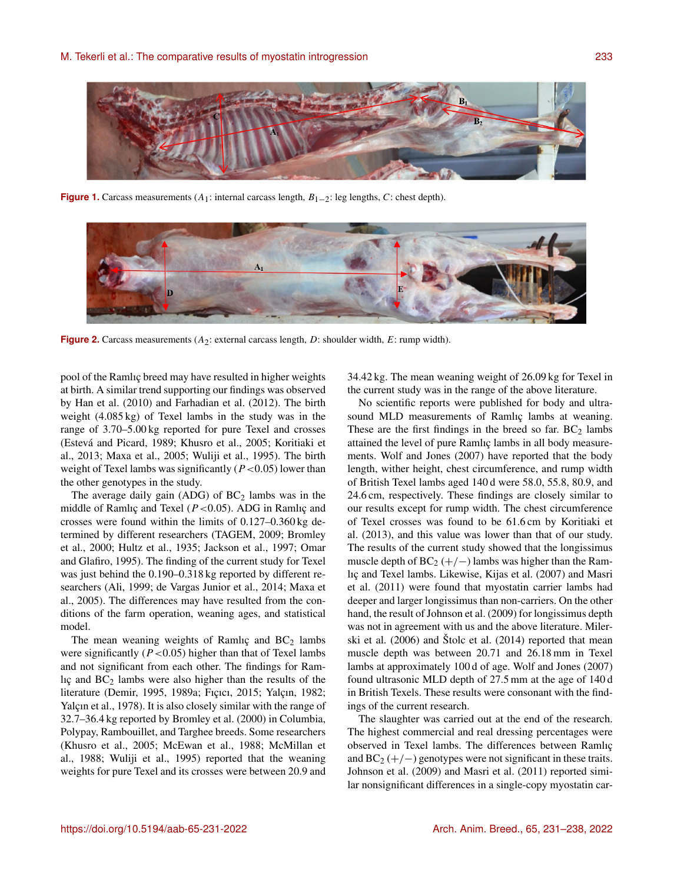

**Figure 1.** Carcass measurements  $(A_1:$  internal carcass length,  $B_{1-2}:$  leg lengths, C: chest depth).



**Figure 2.** Carcass measurements  $(A_2:$  external carcass length, D: shoulder width, E: rump width).

pool of the Ramlıç breed may have resulted in higher weights at birth. A similar trend supporting our findings was observed by Han et al. (2010) and Farhadian et al. (2012). The birth weight (4.085 kg) of Texel lambs in the study was in the range of 3.70–5.00 kg reported for pure Texel and crosses (Estevá and Picard, 1989; Khusro et al., 2005; Koritiaki et al., 2013; Maxa et al., 2005; Wuliji et al., 1995). The birth weight of Texel lambs was significantly ( $P < 0.05$ ) lower than the other genotypes in the study.

The average daily gain (ADG) of  $BC<sub>2</sub>$  lambs was in the middle of Ramlıç and Texel  $(P<0.05)$ . ADG in Ramlıç and crosses were found within the limits of 0.127–0.360 kg determined by different researchers (TAGEM, 2009; Bromley et al., 2000; Hultz et al., 1935; Jackson et al., 1997; Omar and Glafiro, 1995). The finding of the current study for Texel was just behind the 0.190–0.318 kg reported by different researchers (Ali, 1999; de Vargas Junior et al., 2014; Maxa et al., 2005). The differences may have resulted from the conditions of the farm operation, weaning ages, and statistical model.

The mean weaning weights of Ramlıç and  $BC<sub>2</sub>$  lambs were significantly  $(P<0.05)$  higher than that of Texel lambs and not significant from each other. The findings for Ramlıç and  $BC_2$  lambs were also higher than the results of the literature (Demir, 1995, 1989a; Fıçıcı, 2015; Yalçın, 1982; Yalçın et al., 1978). It is also closely similar with the range of 32.7–36.4 kg reported by Bromley et al. (2000) in Columbia, Polypay, Rambouillet, and Targhee breeds. Some researchers (Khusro et al., 2005; McEwan et al., 1988; McMillan et al., 1988; Wuliji et al., 1995) reported that the weaning weights for pure Texel and its crosses were between 20.9 and 34.42 kg. The mean weaning weight of 26.09 kg for Texel in the current study was in the range of the above literature.

No scientific reports were published for body and ultrasound MLD measurements of Ramlıç lambs at weaning. These are the first findings in the breed so far.  $BC_2$  lambs attained the level of pure Ramlıç lambs in all body measurements. Wolf and Jones (2007) have reported that the body length, wither height, chest circumference, and rump width of British Texel lambs aged 140 d were 58.0, 55.8, 80.9, and 24.6 cm, respectively. These findings are closely similar to our results except for rump width. The chest circumference of Texel crosses was found to be 61.6 cm by Koritiaki et al. (2013), and this value was lower than that of our study. The results of the current study showed that the longissimus muscle depth of  $BC_2 (+/-)$  lambs was higher than the Ramlıç and Texel lambs. Likewise, Kijas et al. (2007) and Masri et al. (2011) were found that myostatin carrier lambs had deeper and larger longissimus than non-carriers. On the other hand, the result of Johnson et al. (2009) for longissimus depth was not in agreement with us and the above literature. Milerski et al. (2006) and Štolc et al. (2014) reported that mean muscle depth was between 20.71 and 26.18 mm in Texel lambs at approximately 100 d of age. Wolf and Jones (2007) found ultrasonic MLD depth of 27.5 mm at the age of 140 d in British Texels. These results were consonant with the findings of the current research.

The slaughter was carried out at the end of the research. The highest commercial and real dressing percentages were observed in Texel lambs. The differences between Ramlıç and  $BC_2$  (+/−) genotypes were not significant in these traits. Johnson et al. (2009) and Masri et al. (2011) reported similar nonsignificant differences in a single-copy myostatin car-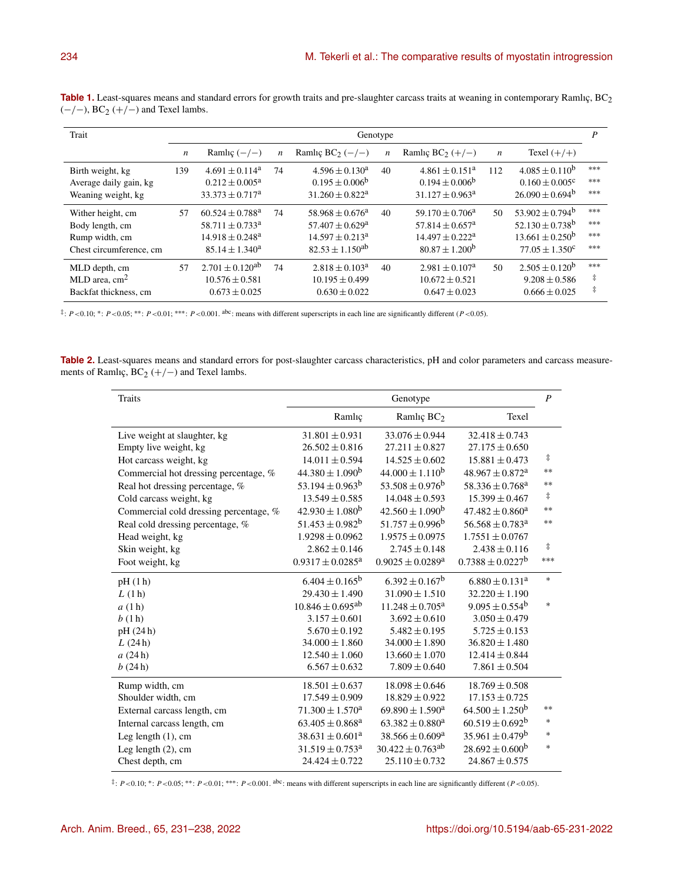| Trait                                                                             | Genotype         |                                                                                                                   |    |                                                                                                      |                  |                                                                                                              | P                |                                                                                                              |                          |
|-----------------------------------------------------------------------------------|------------------|-------------------------------------------------------------------------------------------------------------------|----|------------------------------------------------------------------------------------------------------|------------------|--------------------------------------------------------------------------------------------------------------|------------------|--------------------------------------------------------------------------------------------------------------|--------------------------|
|                                                                                   | $\boldsymbol{n}$ | Ramlıç $(-/-)$                                                                                                    | n  | Ramlıç BC <sub>2</sub> $(-/-)$                                                                       | $\boldsymbol{n}$ | Ramlıç BC <sub>2</sub> $(+/-)$                                                                               | $\boldsymbol{n}$ | Texel $(+/+)$                                                                                                |                          |
| Birth weight, kg<br>Average daily gain, kg<br>Weaning weight, kg                  | 139              | $4.691 \pm 0.114^a$<br>$0.212 \pm 0.005^a$<br>$33.373 \pm 0.717^a$                                                | 74 | $4.596 \pm 0.130^a$<br>$0.195 \pm 0.006^b$<br>$31.260 \pm 0.822^a$                                   | 40               | $4.861 \pm 0.151^{\rm a}$<br>$0.194 \pm 0.006^b$<br>$31.127 \pm 0.963^{\text{a}}$                            | 112              | $4.085 \pm 0.110^b$<br>$0.160 \pm 0.005^c$<br>$26.090 \pm 0.694^b$                                           | ***<br>$***$<br>***      |
| Wither height, cm<br>Body length, cm<br>Rump width, cm<br>Chest circumference, cm | 57               | $60.524 \pm 0.788$ <sup>a</sup><br>$58.711 \pm 0.733$ <sup>a</sup><br>$14.918 \pm 0.248^a$<br>$85.14 \pm 1.340^a$ | 74 | $58.968 \pm 0.676^a$<br>$57.407 \pm 0.629^{\rm a}$<br>$14.597 \pm 0.213^a$<br>$82.53 \pm 1.150^{ab}$ | 40               | $59.170 \pm 0.706^a$<br>$57.814 \pm 0.657$ <sup>a</sup><br>$14.497 \pm 0.222^a$<br>$80.87 \pm 1.200^{\rm b}$ | 50               | $53.902 \pm 0.794^b$<br>$52.130 \pm 0.738$ <sup>b</sup><br>$13.661 \pm 0.250^{\circ}$<br>$77.05 \pm 1.350^c$ | ***<br>***<br>***<br>*** |
| MLD depth, cm<br>MLD area, $cm2$<br>Backfat thickness, cm                         | 57               | $2.701 \pm 0.120^{ab}$<br>$10.576 \pm 0.581$<br>$0.673 \pm 0.025$                                                 | 74 | $2.818 \pm 0.103^a$<br>$10.195 \pm 0.499$<br>$0.630 \pm 0.022$                                       | 40               | $2.981 \pm 0.107^{\text{a}}$<br>$10.672 \pm 0.521$<br>$0.647 \pm 0.023$                                      | 50               | $2.505 \pm 0.120^b$<br>$9.208 \pm 0.586$<br>$0.666 \pm 0.025$                                                | ***<br>‡<br>ŧ            |

Table 1. Least-squares means and standard errors for growth traits and pre-slaughter carcass traits at weaning in contemporary Ramlıç, BC<sub>2</sub>  $(-/-)$ , BC<sub>2</sub> (+/-) and Texel lambs.

 $\ddot{\tau}$ :  $P < 0.10$ ;  $\dot{\tau}$ :  $P < 0.05$ ;  $\dot{\tau}$   $\dot{\tau}$ :  $P < 0.01$ ;  $\dot{\tau}$  =  $\dot{\tau}$  =  $< 0.001$ . abc: means with different superscripts in each line are significantly different (P < 0.05).

**Table 2.** Least-squares means and standard errors for post-slaughter carcass characteristics, pH and color parameters and carcass measurements of Ramlıç,  $BC_2$  (+/−) and Texel lambs.

| Traits                                 | Genotype                         |                                  |                                  |            |
|----------------------------------------|----------------------------------|----------------------------------|----------------------------------|------------|
|                                        | Ramlıç                           | Ramlıç $BC2$                     | Texel                            |            |
| Live weight at slaughter, kg           | $31.801 \pm 0.931$               | $33.076 \pm 0.944$               | $32.418 \pm 0.743$               |            |
| Empty live weight, kg                  | $26.502 \pm 0.816$               | $27.211 \pm 0.827$               | $27.175 \pm 0.650$               |            |
| Hot carcass weight, kg                 | $14.011 \pm 0.594$               | $14.525 \pm 0.602$               | $15.881 \pm 0.473$               | $\ddagger$ |
| Commercial hot dressing percentage, %  | $44.380 \pm 1.090^b$             | $44.000 \pm 1.110^b$             | $48.967 \pm 0.872$ <sup>a</sup>  | $**$       |
| Real hot dressing percentage, %        | 53.194 $\pm$ 0.963 <sup>b</sup>  | $53.508 \pm 0.976^b$             | $58.336 \pm 0.768$ <sup>a</sup>  | $**$       |
| Cold carcass weight, kg                | $13.549 \pm 0.585$               | $14.048 \pm 0.593$               | $15.399 \pm 0.467$               | $\ddagger$ |
| Commercial cold dressing percentage, % | $42.930 \pm 1.080^b$             | $42.560 \pm 1.090^{\rm b}$       | $47.482 \pm 0.860^a$             | $**$       |
| Real cold dressing percentage, %       | $51.453 \pm 0.982^b$             | $51.757 \pm 0.996^b$             | $56.568 \pm 0.783$ <sup>a</sup>  | $**$       |
| Head weight, kg                        | $1.9298 \pm 0.0962$              | $1.9575 \pm 0.0975$              | $1.7551 \pm 0.0767$              |            |
| Skin weight, kg                        | $2.862 \pm 0.146$                | $2.745 \pm 0.148$                | $2.438 \pm 0.116$                | $\ddagger$ |
| Foot weight, kg                        | $0.9317 \pm 0.0285$ <sup>a</sup> | $0.9025 \pm 0.0289$ <sup>a</sup> | $0.7388 \pm 0.0227$ <sup>b</sup> | ***        |
| pH(1h)                                 | $6.404 \pm 0.165^b$              | $6.392 \pm 0.167^b$              | $6.880 \pm 0.131^a$              | $\ast$     |
| L(1h)                                  | $29.430 \pm 1.490$               | $31.090 \pm 1.510$               | $32.220 \pm 1.190$               |            |
| a(1h)                                  | $10.846 \pm 0.695$ <sup>ab</sup> | $11.248 \pm 0.705^{\text{a}}$    | $9.095 \pm 0.554^b$              | $\ast$     |
| b(1h)                                  | $3.157 \pm 0.601$                | $3.692 \pm 0.610$                | $3.050 \pm 0.479$                |            |
| pH (24h)                               | $5.670 \pm 0.192$                | $5.482 \pm 0.195$                | $5.725 \pm 0.153$                |            |
| L(24h)                                 | $34.000 \pm 1.860$               | $34.000 \pm 1.890$               | $36.820 \pm 1.480$               |            |
| a(24h)                                 | $12.540 \pm 1.060$               | $13.660 \pm 1.070$               | $12.414 \pm 0.844$               |            |
| b(24h)                                 | $6.567 \pm 0.632$                | $7.809 \pm 0.640$                | $7.861 \pm 0.504$                |            |
| Rump width, cm                         | $18.501 \pm 0.637$               | $18.098 \pm 0.646$               | $18.769 \pm 0.508$               |            |
| Shoulder width, cm                     | $17.549 \pm 0.909$               | $18.829 \pm 0.922$               | $17.153 \pm 0.725$               |            |
| External carcass length, cm            | $71.300 \pm 1.570^a$             | $69.890 \pm 1.590^a$             | $64.500 \pm 1.250^b$             | $**$       |
| Internal carcass length, cm            | $63.405 \pm 0.868$ <sup>a</sup>  | $63.382 \pm 0.880^a$             | $60.519 \pm 0.692^b$             | $*$        |
| Leg length $(1)$ , cm                  | $38.631 \pm 0.601^a$             | $38.566 \pm 0.609^a$             | $35.961 \pm 0.479$ <sup>b</sup>  | $\ast$     |
| Leg length $(2)$ , cm                  | $31.519 \pm 0.753$ <sup>a</sup>  | $30.422 \pm 0.763$ <sup>ab</sup> | $28.692 \pm 0.600^b$             | $\ast$     |
| Chest depth, cm                        | $24.424 \pm 0.722$               | $25.110 \pm 0.732$               | $24.867 \pm 0.575$               |            |

 $\ddot{\tau}$ :  $P < 0.10$ ; \* :  $P < 0.05$ ; \*\*\*:  $P < 0.01$ ; \*\*\*:  $P < 0.001$ . abc: means with different superscripts in each line are significantly different ( $P < 0.05$ ).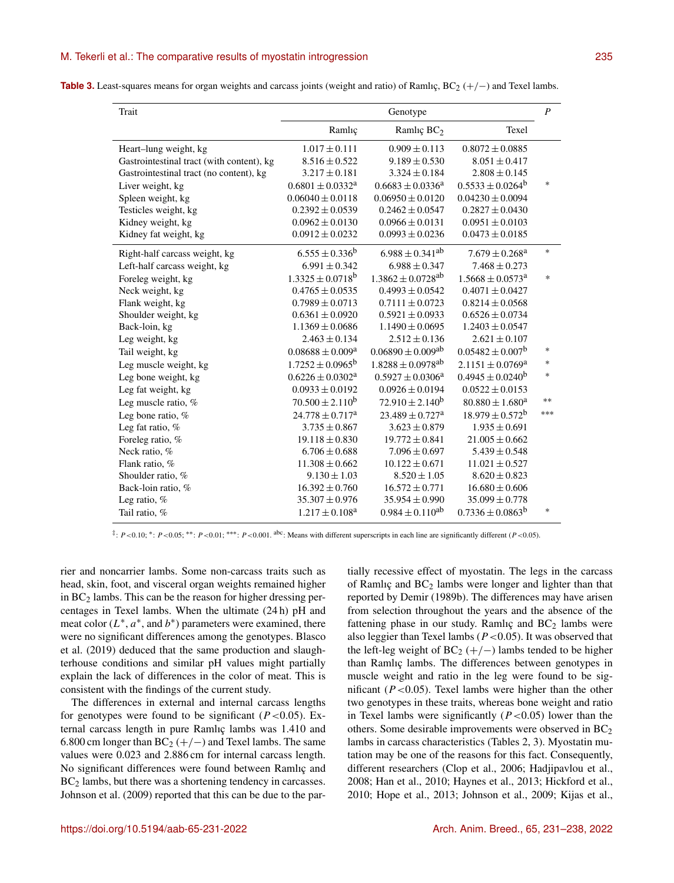| <b>Table 3.</b> Least-squares means for organ weights and carcass joints (weight and ratio) of Ramlıç, $BC_2$ (+/-) and Texel lambs. |  |  |  |  |
|--------------------------------------------------------------------------------------------------------------------------------------|--|--|--|--|
|--------------------------------------------------------------------------------------------------------------------------------------|--|--|--|--|

| Trait                                     | Genotype                         |                                   |                                  |        |  |
|-------------------------------------------|----------------------------------|-----------------------------------|----------------------------------|--------|--|
|                                           | Ramlıç                           | Ramlıç BC <sub>2</sub>            | Texel                            |        |  |
| Heart-lung weight, kg                     | $1.017 \pm 0.111$                | $0.909 \pm 0.113$                 | $0.8072 \pm 0.0885$              |        |  |
| Gastrointestinal tract (with content), kg | $8.516 \pm 0.522$                | $9.189 \pm 0.530$                 | $8.051 \pm 0.417$                |        |  |
| Gastrointestinal tract (no content), kg   | $3.217 \pm 0.181$                | $3.324 \pm 0.184$                 | $2.808 \pm 0.145$                |        |  |
| Liver weight, kg                          | $0.6801 \pm 0.0332^a$            | $0.6683 \pm 0.0336^a$             | $0.5533 \pm 0.0264^b$            | $\ast$ |  |
| Spleen weight, kg                         | $0.06040 \pm 0.0118$             | $0.06950 \pm 0.0120$              | $0.04230 \pm 0.0094$             |        |  |
| Testicles weight, kg                      | $0.2392 \pm 0.0539$              | $0.2462 \pm 0.0547$               | $0.2827 \pm 0.0430$              |        |  |
| Kidney weight, kg                         | $0.0962 \pm 0.0130$              | $0.0966 \pm 0.0131$               | $0.0951 \pm 0.0103$              |        |  |
| Kidney fat weight, kg                     | $0.0912 \pm 0.0232$              | $0.0993 \pm 0.0236$               | $0.0473 \pm 0.0185$              |        |  |
| Right-half carcass weight, kg             | $6.555 \pm 0.336^b$              | $6.988 \pm 0.341$ <sup>ab</sup>   | $7.679 \pm 0.268$ <sup>a</sup>   | $*$    |  |
| Left-half carcass weight, kg              | $6.991 \pm 0.342$                | $6.988 \pm 0.347$                 | $7.468 \pm 0.273$                |        |  |
| Foreleg weight, kg                        | $1.3325 \pm 0.0718$ <sup>b</sup> | $1.3862 \pm 0.0728$ <sup>ab</sup> | $1.5668 \pm 0.0573$ <sup>a</sup> | $\ast$ |  |
| Neck weight, kg                           | $0.4765 \pm 0.0535$              | $0.4993 \pm 0.0542$               | $0.4071 \pm 0.0427$              |        |  |
| Flank weight, kg                          | $0.7989 \pm 0.0713$              | $0.7111 \pm 0.0723$               | $0.8214 \pm 0.0568$              |        |  |
| Shoulder weight, kg                       | $0.6361 \pm 0.0920$              | $0.5921 \pm 0.0933$               | $0.6526 \pm 0.0734$              |        |  |
| Back-loin, kg                             | $1.1369 \pm 0.0686$              | $1.1490 \pm 0.0695$               | $1.2403 \pm 0.0547$              |        |  |
| Leg weight, kg                            | $2.463 \pm 0.134$                | $2.512 \pm 0.136$                 | $2.621 \pm 0.107$                |        |  |
| Tail weight, kg                           | $0.08688 \pm 0.009^a$            | $0.06890 \pm 0.009$ <sup>ab</sup> | $0.05482 \pm 0.007^b$            | $\ast$ |  |
| Leg muscle weight, kg                     | $1.7252 \pm 0.0965^b$            | $1.8288 \pm 0.0978$ <sup>ab</sup> | $2.1151 \pm 0.0769^{\text{a}}$   | $\ast$ |  |
| Leg bone weight, kg                       | $0.6226 \pm 0.0302$ <sup>a</sup> | $0.5927 \pm 0.0306^a$             | $0.4945 \pm 0.0240^b$            | $\ast$ |  |
| Leg fat weight, kg                        | $0.0933 \pm 0.0192$              | $0.0926 \pm 0.0194$               | $0.0522 \pm 0.0153$              |        |  |
| Leg muscle ratio, %                       | $70.500 \pm 2.110^b$             | $72.910 \pm 2.140^b$              | $80.880 \pm 1.680^a$             | $**$   |  |
| Leg bone ratio, %                         | $24.778 \pm 0.717^a$             | $23.489 \pm 0.727$ <sup>a</sup>   | $18.979 \pm 0.572^b$             | $***$  |  |
| Leg fat ratio, %                          | $3.735 \pm 0.867$                | $3.623 \pm 0.879$                 | $1.935 \pm 0.691$                |        |  |
| Foreleg ratio, %                          | $19.118 \pm 0.830$               | $19.772 \pm 0.841$                | $21.005 \pm 0.662$               |        |  |
| Neck ratio, %                             | $6.706 \pm 0.688$                | $7.096 \pm 0.697$                 | $5.439 \pm 0.548$                |        |  |
| Flank ratio, %                            | $11.308 \pm 0.662$               | $10.122 \pm 0.671$                | $11.021 \pm 0.527$               |        |  |
| Shoulder ratio, %                         | $9.130 \pm 1.03$                 | $8.520 \pm 1.05$                  | $8.620 \pm 0.823$                |        |  |
| Back-loin ratio, %                        | $16.392 \pm 0.760$               | $16.572 \pm 0.771$                | $16.680 \pm 0.606$               |        |  |
| Leg ratio, %                              | $35.307 \pm 0.976$               | $35.954 \pm 0.990$                | $35.099 \pm 0.778$               |        |  |
| Tail ratio, %                             | $1.217 \pm 0.108$ <sup>a</sup>   | $0.984 \pm 0.110^{ab}$            | $0.7336 \pm 0.0863^b$            | $\ast$ |  |

 $\ddot{\tau}$ : P <0.05; \*\*: P <0.05; \*\*\*: P <0.01; \*\*\*: P <0.001. abc: Means with different superscripts in each line are significantly different (P <0.05).

rier and noncarrier lambs. Some non-carcass traits such as head, skin, foot, and visceral organ weights remained higher in  $BC<sub>2</sub>$  lambs. This can be the reason for higher dressing percentages in Texel lambs. When the ultimate (24 h) pH and meat color  $(L^*, a^*,$  and  $b^*)$  parameters were examined, there were no significant differences among the genotypes. Blasco et al. (2019) deduced that the same production and slaughterhouse conditions and similar pH values might partially explain the lack of differences in the color of meat. This is consistent with the findings of the current study.

The differences in external and internal carcass lengths for genotypes were found to be significant  $(P<0.05)$ . External carcass length in pure Ramlıç lambs was 1.410 and 6.800 cm longer than  $BC_2 (+/-)$  and Texel lambs. The same values were 0.023 and 2.886 cm for internal carcass length. No significant differences were found between Ramlıç and BC<sub>2</sub> lambs, but there was a shortening tendency in carcasses. Johnson et al. (2009) reported that this can be due to the partially recessive effect of myostatin. The legs in the carcass of Ramlıç and  $BC_2$  lambs were longer and lighter than that reported by Demir (1989b). The differences may have arisen from selection throughout the years and the absence of the fattening phase in our study. Ramlıç and  $BC<sub>2</sub>$  lambs were also leggier than Texel lambs ( $P < 0.05$ ). It was observed that the left-leg weight of  $BC_2 (+/-)$  lambs tended to be higher than Ramlıç lambs. The differences between genotypes in muscle weight and ratio in the leg were found to be significant ( $P < 0.05$ ). Texel lambs were higher than the other two genotypes in these traits, whereas bone weight and ratio in Texel lambs were significantly  $(P<0.05)$  lower than the others. Some desirable improvements were observed in  $BC<sub>2</sub>$ lambs in carcass characteristics (Tables 2, 3). Myostatin mutation may be one of the reasons for this fact. Consequently, different researchers (Clop et al., 2006; Hadjipavlou et al., 2008; Han et al., 2010; Haynes et al., 2013; Hickford et al., 2010; Hope et al., 2013; Johnson et al., 2009; Kijas et al.,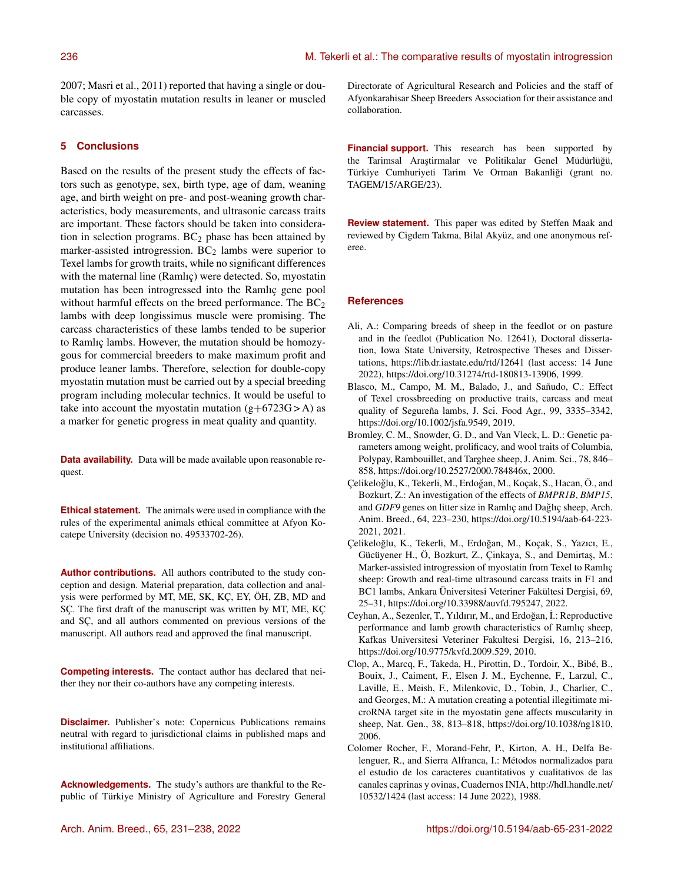2007; Masri et al., 2011) reported that having a single or double copy of myostatin mutation results in leaner or muscled carcasses.

### **5 Conclusions**

Based on the results of the present study the effects of factors such as genotype, sex, birth type, age of dam, weaning age, and birth weight on pre- and post-weaning growth characteristics, body measurements, and ultrasonic carcass traits are important. These factors should be taken into consideration in selection programs.  $BC<sub>2</sub>$  phase has been attained by marker-assisted introgression.  $BC<sub>2</sub>$  lambs were superior to Texel lambs for growth traits, while no significant differences with the maternal line (Ramlıç) were detected. So, myostatin mutation has been introgressed into the Ramlıç gene pool without harmful effects on the breed performance. The  $BC_2$ lambs with deep longissimus muscle were promising. The carcass characteristics of these lambs tended to be superior to Ramlıç lambs. However, the mutation should be homozygous for commercial breeders to make maximum profit and produce leaner lambs. Therefore, selection for double-copy myostatin mutation must be carried out by a special breeding program including molecular technics. It would be useful to take into account the myostatin mutation  $(g+6723G > A)$  as a marker for genetic progress in meat quality and quantity.

**Data availability.** Data will be made available upon reasonable request.

**Ethical statement.** The animals were used in compliance with the rules of the experimental animals ethical committee at Afyon Kocatepe University (decision no. 49533702-26).

**Author contributions.** All authors contributed to the study conception and design. Material preparation, data collection and analysis were performed by MT, ME, SK, KÇ, EY, ÖH, ZB, MD and SÇ. The first draft of the manuscript was written by MT, ME, KÇ and SÇ, and all authors commented on previous versions of the manuscript. All authors read and approved the final manuscript.

**Competing interests.** The contact author has declared that neither they nor their co-authors have any competing interests.

**Disclaimer.** Publisher's note: Copernicus Publications remains neutral with regard to jurisdictional claims in published maps and institutional affiliations.

**Acknowledgements.** The study's authors are thankful to the Republic of Türkiye Ministry of Agriculture and Forestry General Directorate of Agricultural Research and Policies and the staff of Afyonkarahisar Sheep Breeders Association for their assistance and collaboration.

**Financial support.** This research has been supported by the Tarimsal Araştirmalar ve Politikalar Genel Müdürlüğü, Türkiye Cumhuriyeti Tarim Ve Orman Bakanliği (grant no. TAGEM/15/ARGE/23).

**Review statement.** This paper was edited by Steffen Maak and reviewed by Cigdem Takma, Bilal Akyüz, and one anonymous referee.

### **References**

- Ali, A.: Comparing breeds of sheep in the feedlot or on pasture and in the feedlot (Publication No. 12641), Doctoral dissertation, Iowa State University, Retrospective Theses and Dissertations, <https://lib.dr.iastate.edu/rtd/12641> (last access: 14 June 2022), https://doi.org[/10.31274/rtd-180813-13906,](https://doi.org/10.31274/rtd-180813-13906) 1999.
- Blasco, M., Campo, M. M., Balado, J., and Sañudo, C.: Effect of Texel crossbreeding on productive traits, carcass and meat quality of Segureña lambs, J. Sci. Food Agr., 99, 3335–3342, https://doi.org[/10.1002/jsfa.9549,](https://doi.org/10.1002/jsfa.9549) 2019.
- Bromley, C. M., Snowder, G. D., and Van Vleck, L. D.: Genetic parameters among weight, prolificacy, and wool traits of Columbia, Polypay, Rambouillet, and Targhee sheep, J. Anim. Sci., 78, 846– 858, https://doi.org[/10.2527/2000.784846x,](https://doi.org/10.2527/2000.784846x) 2000.
- Çelikeloğlu, K., Tekerli, M., Erdoğan, M., Koçak, S., Hacan, Ö., and Bozkurt, Z.: An investigation of the effects of *BMPR1B*, *BMP15*, and *GDF9* genes on litter size in Ramlıç and Dağlıç sheep, Arch. Anim. Breed., 64, 223–230, https://doi.org[/10.5194/aab-64-223-](https://doi.org/10.5194/aab-64-223-2021) [2021,](https://doi.org/10.5194/aab-64-223-2021) 2021.
- Çelikeloğlu, K., Tekerli, M., Erdoğan, M., Koçak, S., Yazıcı, E., Gücüyener H., Ö, Bozkurt, Z., Çinkaya, S., and Demirtaş, M.: Marker-assisted introgression of myostatin from Texel to Ramlıç sheep: Growth and real-time ultrasound carcass traits in F1 and BC1 lambs, Ankara Üniversitesi Veteriner Fakültesi Dergisi, 69, 25–31, https://doi.org[/10.33988/auvfd.795247,](https://doi.org/10.33988/auvfd.795247) 2022.
- Ceyhan, A., Sezenler, T., Yıldırır, M., and Erdoğan, İ.: Reproductive performance and lamb growth characteristics of Ramlıç sheep, Kafkas Universitesi Veteriner Fakultesi Dergisi, 16, 213–216, https://doi.org[/10.9775/kvfd.2009.529,](https://doi.org/10.9775/kvfd.2009.529) 2010.
- Clop, A., Marcq, F., Takeda, H., Pirottin, D., Tordoir, X., Bibé, B., Bouix, J., Caiment, F., Elsen J. M., Eychenne, F., Larzul, C., Laville, E., Meish, F., Milenkovic, D., Tobin, J., Charlier, C., and Georges, M.: A mutation creating a potential illegitimate microRNA target site in the myostatin gene affects muscularity in sheep, Nat. Gen., 38, 813–818, https://doi.org[/10.1038/ng1810,](https://doi.org/10.1038/ng1810) 2006.
- Colomer Rocher, F., Morand-Fehr, P., Kirton, A. H., Delfa Belenguer, R., and Sierra Alfranca, I.: Métodos normalizados para el estudio de los caracteres cuantitativos y cualitativos de las canales caprinas y ovinas, Cuadernos INIA, [http://hdl.handle.net/](http://hdl.handle.net/10532/1424) [10532/1424](http://hdl.handle.net/10532/1424) (last access: 14 June 2022), 1988.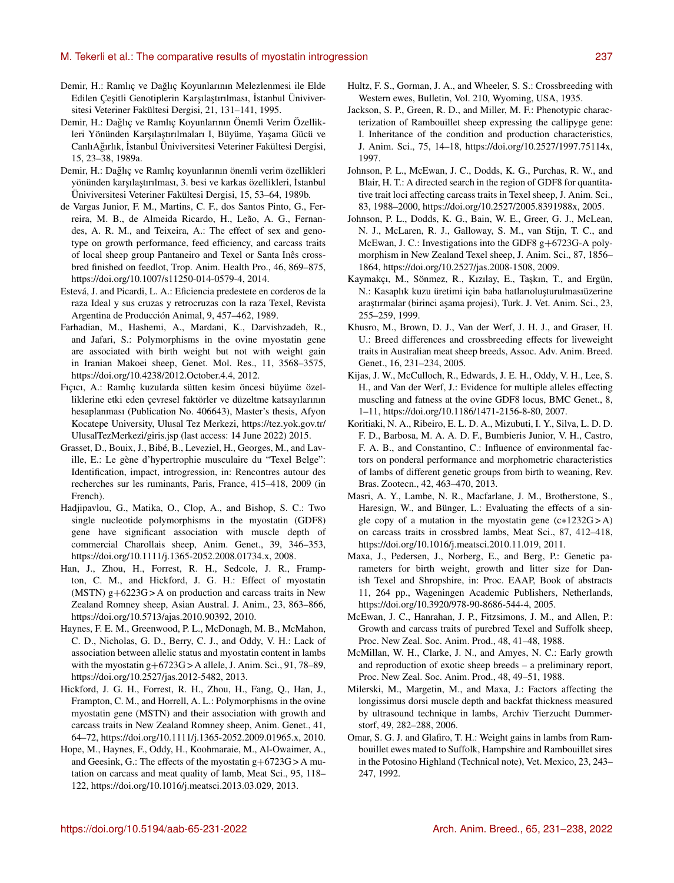#### M. Tekerli et al.: The comparative results of myostatin introgression 237

- Demir, H.: Ramlıç ve Dağlıç Koyunlarının Melezlenmesi ile Elde Edilen Çeşitli Genotiplerin Karşılaştırılması, İstanbul Üniviversitesi Veteriner Fakültesi Dergisi, 21, 131–141, 1995.
- Demir, H.: Daglıç ve Ramlıç Koyunlarının Önemli Verim Özellik- ˘ leri Yönünden Karşılaştırılmaları I, Büyüme, Yaşama Gücü ve Canlı Ağırlık, İstanbul Üniviversitesi Veteriner Fakültesi Dergisi, 15, 23–38, 1989a.
- Demir, H.: Daglıç ve Ramlıç koyunlarının önemli verim özellikleri ˘ yönünden karşılaştırılması, 3. besi ve karkas özellikleri, İstanbul Üniviversitesi Veteriner Fakültesi Dergisi, 15, 53–64, 1989b.
- de Vargas Junior, F. M., Martins, C. F., dos Santos Pinto, G., Ferreira, M. B., de Almeida Ricardo, H., Leão, A. G., Fernandes, A. R. M., and Teixeira, A.: The effect of sex and genotype on growth performance, feed efficiency, and carcass traits of local sheep group Pantaneiro and Texel or Santa Inês crossbred finished on feedlot, Trop. Anim. Health Pro., 46, 869–875, https://doi.org[/10.1007/s11250-014-0579-4,](https://doi.org/10.1007/s11250-014-0579-4) 2014.
- Estevá, J. and Picardi, L. A.: Eficiencia predestete en corderos de la raza Ideal y sus cruzas y retrocruzas con la raza Texel, Revista Argentina de Producción Animal, 9, 457–462, 1989.
- Farhadian, M., Hashemi, A., Mardani, K., Darvishzadeh, R., and Jafari, S.: Polymorphisms in the ovine myostatin gene are associated with birth weight but not with weight gain in Iranian Makoei sheep, Genet. Mol. Res., 11, 3568–3575, https://doi.org[/10.4238/2012.October.4.4,](https://doi.org/10.4238/2012.October.4.4) 2012.
- Fıçıcı, A.: Ramlıç kuzularda sütten kesim öncesi büyüme özelliklerine etki eden çevresel faktörler ve düzeltme katsayılarının hesaplanması (Publication No. 406643), Master's thesis, Afyon Kocatepe University, Ulusal Tez Merkezi, [https://tez.yok.gov.tr/](https://tez.yok.gov.tr/UlusalTezMerkezi/giris.jsp) [UlusalTezMerkezi/giris.jsp](https://tez.yok.gov.tr/UlusalTezMerkezi/giris.jsp) (last access: 14 June 2022) 2015.
- Grasset, D., Bouix, J., Bibé, B., Leveziel, H., Georges, M., and Laville, E.: Le gène d'hypertrophie musculaire du "Texel Belge": Identification, impact, introgression, in: Rencontres autour des recherches sur les ruminants, Paris, France, 415–418, 2009 (in French).
- Hadjipavlou, G., Matika, O., Clop, A., and Bishop, S. C.: Two single nucleotide polymorphisms in the myostatin (GDF8) gene have significant association with muscle depth of commercial Charollais sheep, Anim. Genet., 39, 346–353, https://doi.org[/10.1111/j.1365-2052.2008.01734.x,](https://doi.org/10.1111/j.1365-2052.2008.01734.x) 2008.
- Han, J., Zhou, H., Forrest, R. H., Sedcole, J. R., Frampton, C. M., and Hickford, J. G. H.: Effect of myostatin (MSTN)  $g+6223G$  > A on production and carcass traits in New Zealand Romney sheep, Asian Austral. J. Anim., 23, 863–866, https://doi.org[/10.5713/ajas.2010.90392,](https://doi.org/10.5713/ajas.2010.90392) 2010.
- Haynes, F. E. M., Greenwood, P. L., McDonagh, M. B., McMahon, C. D., Nicholas, G. D., Berry, C. J., and Oddy, V. H.: Lack of association between allelic status and myostatin content in lambs with the myostatin g+6723G > A allele, J. Anim. Sci., 91, 78–89, https://doi.org[/10.2527/jas.2012-5482,](https://doi.org/10.2527/jas.2012-5482) 2013.
- Hickford, J. G. H., Forrest, R. H., Zhou, H., Fang, Q., Han, J., Frampton, C. M., and Horrell, A. L.: Polymorphisms in the ovine myostatin gene (MSTN) and their association with growth and carcass traits in New Zealand Romney sheep, Anim. Genet., 41, 64–72, https://doi.org[/10.1111/j.1365-2052.2009.01965.x,](https://doi.org/10.1111/j.1365-2052.2009.01965.x) 2010.
- Hope, M., Haynes, F., Oddy, H., Koohmaraie, M., Al-Owaimer, A., and Geesink, G.: The effects of the myostatin  $g + 6723G > A$  mutation on carcass and meat quality of lamb, Meat Sci., 95, 118– 122, https://doi.org[/10.1016/j.meatsci.2013.03.029,](https://doi.org/10.1016/j.meatsci.2013.03.029) 2013.
- Hultz, F. S., Gorman, J. A., and Wheeler, S. S.: Crossbreeding with Western ewes, Bulletin, Vol. 210, Wyoming, USA, 1935.
- Jackson, S. P., Green, R. D., and Miller, M. F.: Phenotypic characterization of Rambouillet sheep expressing the callipyge gene: I. Inheritance of the condition and production characteristics, J. Anim. Sci., 75, 14–18, https://doi.org[/10.2527/1997.75114x,](https://doi.org/10.2527/1997.75114x) 1997.
- Johnson, P. L., McEwan, J. C., Dodds, K. G., Purchas, R. W., and Blair, H. T.: A directed search in the region of GDF8 for quantitative trait loci affecting carcass traits in Texel sheep, J. Anim. Sci., 83, 1988–2000, https://doi.org[/10.2527/2005.8391988x,](https://doi.org/10.2527/2005.8391988x) 2005.
- Johnson, P. L., Dodds, K. G., Bain, W. E., Greer, G. J., McLean, N. J., McLaren, R. J., Galloway, S. M., van Stijn, T. C., and McEwan, J. C.: Investigations into the GDF8 g+6723G-A polymorphism in New Zealand Texel sheep, J. Anim. Sci., 87, 1856– 1864, https://doi.org[/10.2527/jas.2008-1508,](https://doi.org/10.2527/jas.2008-1508) 2009.
- Kaymakçı, M., Sönmez, R., Kızılay, E., Taşkın, T., and Ergün, N.: Kasaplık kuzu üretimi için baba hatlarıoluşturulmasıüzerine araştırmalar (birinci aşama projesi), Turk. J. Vet. Anim. Sci., 23, 255–259, 1999.
- Khusro, M., Brown, D. J., Van der Werf, J. H. J., and Graser, H. U.: Breed differences and crossbreeding effects for liveweight traits in Australian meat sheep breeds, Assoc. Adv. Anim. Breed. Genet., 16, 231–234, 2005.
- Kijas, J. W., McCulloch, R., Edwards, J. E. H., Oddy, V. H., Lee, S. H., and Van der Werf, J.: Evidence for multiple alleles effecting muscling and fatness at the ovine GDF8 locus, BMC Genet., 8, 1–11, https://doi.org[/10.1186/1471-2156-8-80,](https://doi.org/10.1186/1471-2156-8-80) 2007.
- Koritiaki, N. A., Ribeiro, E. L. D. A., Mizubuti, I. Y., Silva, L. D. D. F. D., Barbosa, M. A. A. D. F., Bumbieris Junior, V. H., Castro, F. A. B., and Constantino, C.: Influence of environmental factors on ponderal performance and morphometric characteristics of lambs of different genetic groups from birth to weaning, Rev. Bras. Zootecn., 42, 463–470, 2013.
- Masri, A. Y., Lambe, N. R., Macfarlane, J. M., Brotherstone, S., Haresign, W., and Bünger, L.: Evaluating the effects of a single copy of a mutation in the myostatin gene  $(c*1232G > A)$ on carcass traits in crossbred lambs, Meat Sci., 87, 412–418, https://doi.org[/10.1016/j.meatsci.2010.11.019,](https://doi.org/10.1016/j.meatsci.2010.11.019) 2011.
- Maxa, J., Pedersen, J., Norberg, E., and Berg, P.: Genetic parameters for birth weight, growth and litter size for Danish Texel and Shropshire, in: Proc. EAAP, Book of abstracts 11, 264 pp., Wageningen Academic Publishers, Netherlands, https://doi.org[/10.3920/978-90-8686-544-4,](https://doi.org/10.3920/978-90-8686-544-4) 2005.
- McEwan, J. C., Hanrahan, J. P., Fitzsimons, J. M., and Allen, P.: Growth and carcass traits of purebred Texel and Suffolk sheep, Proc. New Zeal. Soc. Anim. Prod., 48, 41–48, 1988.
- McMillan, W. H., Clarke, J. N., and Amyes, N. C.: Early growth and reproduction of exotic sheep breeds – a preliminary report, Proc. New Zeal. Soc. Anim. Prod., 48, 49–51, 1988.
- Milerski, M., Margetin, M., and Maxa, J.: Factors affecting the longissimus dorsi muscle depth and backfat thickness measured by ultrasound technique in lambs, Archiv Tierzucht Dummerstorf, 49, 282–288, 2006.
- Omar, S. G. J. and Glafiro, T. H.: Weight gains in lambs from Rambouillet ewes mated to Suffolk, Hampshire and Rambouillet sires in the Potosino Highland (Technical note), Vet. Mexico, 23, 243– 247, 1992.